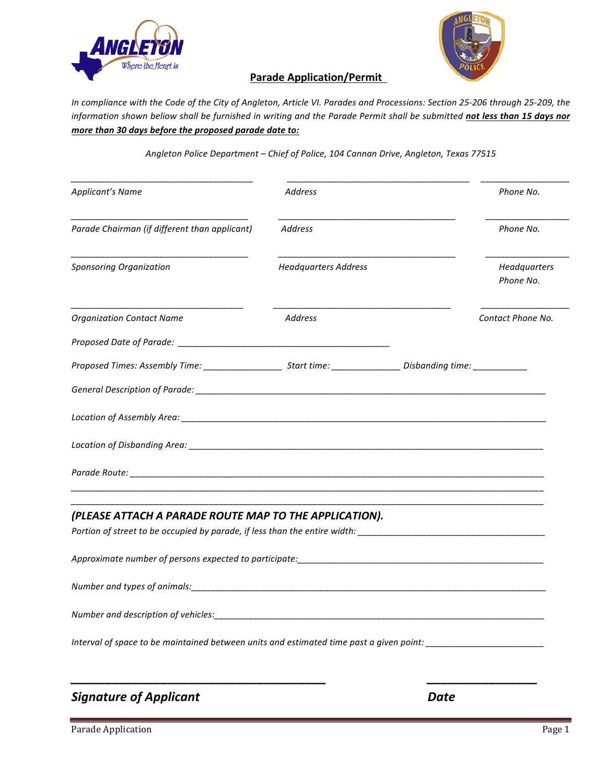



## **Parade Application/Permit**

In compliance with the Code of the City of Angleton, Article VI. Parades and Processions: Section 25-206 through 25-209, the information shown beliow shall be furnished in writing and the Parade Permit shall be submitted not less than 15 days nor *more than* 30 days before the proposed parade date to:

Angleton Police Department - Chief of Police, 104 Cannan Drive, Angleton, Texas 77515

| <b>Applicant's Name</b>                                                                                              | <b>Address</b>              | Phone No.                 |
|----------------------------------------------------------------------------------------------------------------------|-----------------------------|---------------------------|
| Parade Chairman (if different than applicant)                                                                        | <b>Address</b>              | Phone No.                 |
| <b>Sponsoring Organization</b>                                                                                       | <b>Headquarters Address</b> | Headquarters<br>Phone No. |
| <b>Organization Contact Name</b>                                                                                     | Address                     | Contact Phone No.         |
|                                                                                                                      |                             |                           |
| Proposed Times: Assembly Time: __________________________Start time: __________________Disbanding time: ____________ |                             |                           |
|                                                                                                                      |                             |                           |
|                                                                                                                      |                             |                           |
|                                                                                                                      |                             |                           |
|                                                                                                                      |                             |                           |
| (PLEASE ATTACH A PARADE ROUTE MAP TO THE APPLICATION).                                                               |                             |                           |
|                                                                                                                      |                             |                           |
|                                                                                                                      |                             |                           |
|                                                                                                                      |                             |                           |
|                                                                                                                      |                             |                           |
| Number and description of vehicles: National American control of the control of the control of the control of        |                             |                           |

**Signature of Applicant** *Date* 

Parade Application Page 1